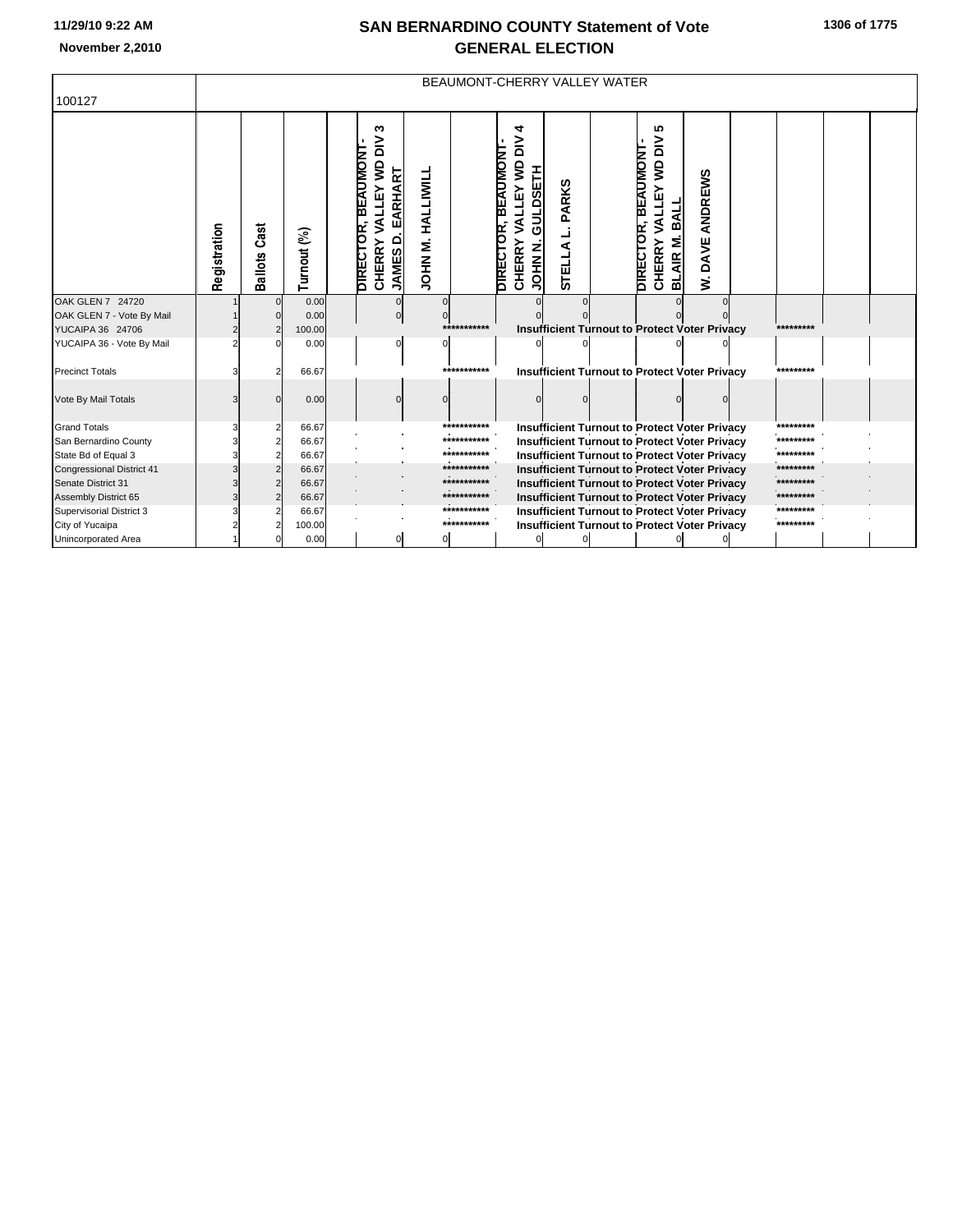## **SAN BERNARDINO COUNTY Statement of Vote November 2,2010 GENERAL ELECTION**

|  |  | 1306 of 1775 |
|--|--|--------------|
|--|--|--------------|

| 100127                                        |              | BEAUMONT-CHERRY VALLEY WATER |                |  |                                                                                                |                      |                            |                                                                                   |                 |                                                      |                                                                                                                                      |                                        |  |                        |  |
|-----------------------------------------------|--------------|------------------------------|----------------|--|------------------------------------------------------------------------------------------------|----------------------|----------------------------|-----------------------------------------------------------------------------------|-----------------|------------------------------------------------------|--------------------------------------------------------------------------------------------------------------------------------------|----------------------------------------|--|------------------------|--|
|                                               | Registration | Cast<br><b>Ballots</b>       | Turnout (%)    |  | w<br>$\geq$<br>BEAUMONT<br>VALLEY WD<br>EARHART<br>DIRECTOR,<br><b>JAMESD</b><br><b>CHERRY</b> | HALLIWILL<br>JOHN M. |                            | 4<br>$\geq$<br><b>BEAUMONI</b><br>VALLEY WD<br>GULDSETH<br><b>CHERRY</b><br>DIREC | PARKS<br>STELLA |                                                      | မာ<br>$\geq$<br><b>BEAUMONT</b><br>$\mathbf{\underline{S}}$<br>VALLEY<br>BALL<br><b>DIRECTOR</b><br><b>BLAIR M.</b><br><b>CHERRY</b> | ANDREWS<br>DAVE.<br>$\dot{\mathbf{z}}$ |  |                        |  |
| OAK GLEN 7 24720                              |              |                              | 0.00           |  |                                                                                                | $\Omega$             |                            |                                                                                   |                 |                                                      |                                                                                                                                      |                                        |  |                        |  |
| OAK GLEN 7 - Vote By Mail<br>YUCAIPA 36 24706 |              |                              | 0.00<br>100.00 |  |                                                                                                |                      | ***********                |                                                                                   |                 | <b>Insufficient Turnout to Protect Voter Privacy</b> |                                                                                                                                      |                                        |  | *********              |  |
| YUCAIPA 36 - Vote By Mail                     |              |                              | 0.00           |  |                                                                                                | $\Omega$             |                            |                                                                                   |                 |                                                      |                                                                                                                                      |                                        |  |                        |  |
|                                               |              |                              |                |  |                                                                                                |                      |                            |                                                                                   |                 |                                                      |                                                                                                                                      |                                        |  |                        |  |
| <b>Precinct Totals</b>                        |              |                              | 66.67          |  |                                                                                                |                      | ***********                |                                                                                   |                 | <b>Insufficient Turnout to Protect Voter Privacy</b> |                                                                                                                                      |                                        |  | *********              |  |
| Vote By Mail Totals                           |              |                              | 0.00           |  |                                                                                                |                      |                            |                                                                                   |                 |                                                      |                                                                                                                                      |                                        |  |                        |  |
| <b>Grand Totals</b>                           |              |                              | 66.67          |  |                                                                                                |                      | ***********                |                                                                                   |                 | <b>Insufficient Turnout to Protect Voter Privacy</b> |                                                                                                                                      |                                        |  | *********              |  |
| San Bernardino County                         |              |                              | 66.67          |  |                                                                                                |                      | ***********                |                                                                                   |                 | <b>Insufficient Turnout to Protect Voter Privacy</b> |                                                                                                                                      |                                        |  | *********              |  |
| State Bd of Equal 3                           |              |                              | 66.67          |  |                                                                                                |                      | ***********<br>*********** |                                                                                   |                 | <b>Insufficient Turnout to Protect Voter Privacy</b> |                                                                                                                                      |                                        |  | ********               |  |
| Congressional District 41                     |              |                              | 66.67          |  |                                                                                                |                      | ***********                |                                                                                   |                 | <b>Insufficient Turnout to Protect Voter Privacy</b> |                                                                                                                                      |                                        |  | ********               |  |
| Senate District 31                            |              |                              | 66.67          |  |                                                                                                |                      | ***********                |                                                                                   |                 | Insufficient Turnout to Protect Voter Privacy        |                                                                                                                                      |                                        |  | ********               |  |
| Assembly District 65                          |              |                              | 66.67          |  |                                                                                                |                      | ***********                |                                                                                   |                 | <b>Insufficient Turnout to Protect Voter Privacy</b> |                                                                                                                                      |                                        |  | *********              |  |
| Supervisorial District 3                      |              |                              | 66.67          |  |                                                                                                |                      | ************               |                                                                                   |                 | <b>Insufficient Turnout to Protect Voter Privacy</b> |                                                                                                                                      |                                        |  | *********<br>********* |  |
| City of Yucaipa                               |              |                              | 100.00         |  |                                                                                                |                      |                            |                                                                                   |                 | <b>Insufficient Turnout to Protect Voter Privacy</b> |                                                                                                                                      |                                        |  |                        |  |
| Unincorporated Area                           |              |                              | 0.00           |  | $\mathbf 0$                                                                                    | 0I                   |                            | $\Omega$                                                                          |                 |                                                      |                                                                                                                                      |                                        |  |                        |  |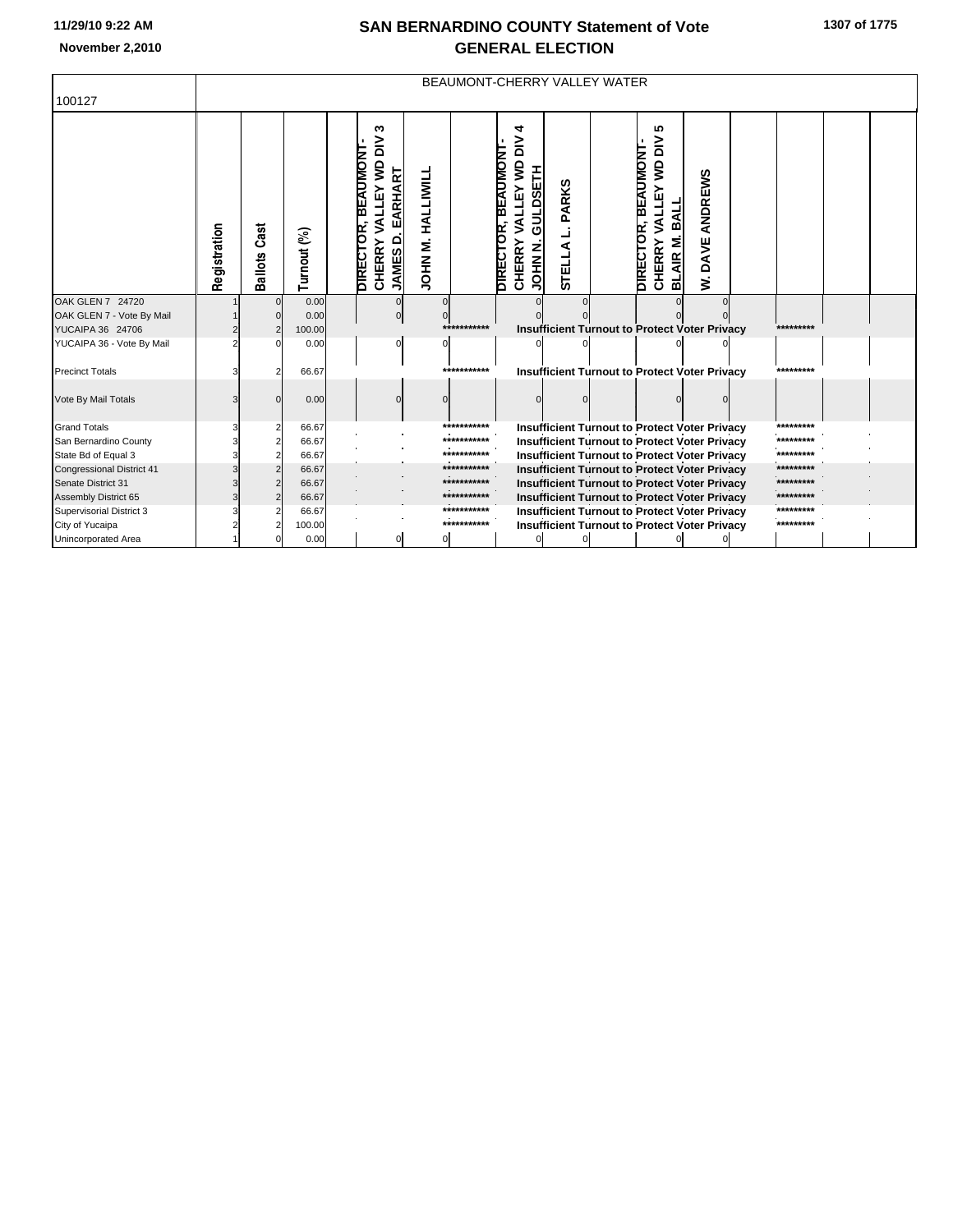## **SAN BERNARDINO COUNTY Statement of Vote November 2,2010 GENERAL ELECTION**

|  |  | 1307 of 1775 |
|--|--|--------------|
|--|--|--------------|

| 100127                                           |              | BEAUMONT-CHERRY VALLEY WATER |                |  |                                                                                                  |                          |                            |                                                                                                           |                               |                                                                                                              |                                                                                                                    |                                        |  |                        |  |
|--------------------------------------------------|--------------|------------------------------|----------------|--|--------------------------------------------------------------------------------------------------|--------------------------|----------------------------|-----------------------------------------------------------------------------------------------------------|-------------------------------|--------------------------------------------------------------------------------------------------------------|--------------------------------------------------------------------------------------------------------------------|----------------------------------------|--|------------------------|--|
|                                                  | Registration | Cast<br>Ballots              | Turnout (%)    |  | S<br>$\geq$<br><b>BEAUMONT</b><br>VALLEY WD<br>EARHART<br>DIRECTOR,<br>JAMES D.<br><b>CHERRY</b> | HALLIWILL<br>ΣŚ<br>INHOL |                            | 4<br>$\geq$<br>DIRECTOR, BEAUMONT<br>VALLEY WD<br><b>GULDSETH</b><br><b>CHERRY</b><br>JOHN <sub>N</sub> . | <b>PARKS</b><br><b>STELLA</b> |                                                                                                              | 10<br>$\geq$<br><b>BEAUMONT</b><br><b>VALLEY WD</b><br>BALL<br><b>DIRECTOR</b><br><b>BLAIR M.</b><br><b>CHERRY</b> | ANDREWS<br>DAVE,<br>$\dot{\mathbf{z}}$ |  |                        |  |
| OAK GLEN 7 24720                                 |              | $\Omega$                     | 0.00           |  |                                                                                                  | $\Omega$                 |                            |                                                                                                           |                               |                                                                                                              |                                                                                                                    |                                        |  |                        |  |
| OAK GLEN 7 - Vote By Mail<br>YUCAIPA 36 24706    |              |                              | 0.00<br>100.00 |  | $\Omega$                                                                                         |                          | ***********                |                                                                                                           |                               | <b>Insufficient Turnout to Protect Voter Privacy</b>                                                         |                                                                                                                    |                                        |  | *********              |  |
| YUCAIPA 36 - Vote By Mail                        |              |                              | 0.00           |  |                                                                                                  |                          |                            |                                                                                                           |                               |                                                                                                              |                                                                                                                    |                                        |  |                        |  |
|                                                  |              |                              |                |  |                                                                                                  |                          |                            |                                                                                                           |                               |                                                                                                              |                                                                                                                    |                                        |  |                        |  |
| <b>Precinct Totals</b>                           |              |                              | 66.67          |  |                                                                                                  |                          | ***********                |                                                                                                           |                               | <b>Insufficient Turnout to Protect Voter Privacy</b>                                                         |                                                                                                                    |                                        |  | *********              |  |
| Vote By Mail Totals                              |              |                              | 0.00           |  |                                                                                                  |                          |                            |                                                                                                           |                               |                                                                                                              |                                                                                                                    |                                        |  |                        |  |
| <b>Grand Totals</b>                              |              |                              | 66.67          |  |                                                                                                  |                          | ***********                |                                                                                                           |                               | <b>Insufficient Turnout to Protect Voter Privacy</b>                                                         |                                                                                                                    |                                        |  | *********              |  |
| San Bernardino County                            |              |                              | 66.67          |  |                                                                                                  |                          | ***********                |                                                                                                           |                               | <b>Insufficient Turnout to Protect Voter Privacy</b>                                                         |                                                                                                                    |                                        |  | *********              |  |
| State Bd of Equal 3                              |              |                              | 66.67          |  |                                                                                                  |                          | ***********<br>*********** |                                                                                                           |                               | <b>Insufficient Turnout to Protect Voter Privacy</b>                                                         |                                                                                                                    |                                        |  | *********              |  |
| <b>Congressional District 41</b>                 |              |                              | 66.67          |  |                                                                                                  |                          | ***********                |                                                                                                           |                               | <b>Insufficient Turnout to Protect Voter Privacy</b>                                                         |                                                                                                                    |                                        |  | **********<br>******** |  |
| Senate District 31                               |              |                              | 66.67<br>66.67 |  |                                                                                                  |                          | ***********                |                                                                                                           |                               | <b>Insufficient Turnout to Protect Voter Privacy</b>                                                         |                                                                                                                    |                                        |  | *********              |  |
| Assembly District 65<br>Supervisorial District 3 |              |                              | 66.67          |  |                                                                                                  |                          | ***********                |                                                                                                           |                               | <b>Insufficient Turnout to Protect Voter Privacy</b>                                                         |                                                                                                                    |                                        |  | *********              |  |
| City of Yucaipa                                  |              |                              | 100.00         |  |                                                                                                  |                          | ***********                |                                                                                                           |                               | <b>Insufficient Turnout to Protect Voter Privacy</b><br><b>Insufficient Turnout to Protect Voter Privacy</b> |                                                                                                                    |                                        |  | *********              |  |
| Unincorporated Area                              |              |                              | 0.00           |  | 0                                                                                                | $\mathbf{0}$             |                            |                                                                                                           |                               |                                                                                                              |                                                                                                                    |                                        |  |                        |  |